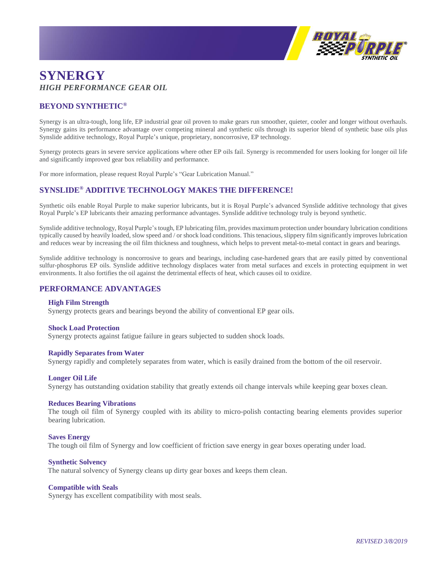

# **SYNERGY** *HIGH PERFORMANCE GEAR OIL*

# **BEYOND SYNTHETIC®**

Synergy is an ultra-tough, long life, EP industrial gear oil proven to make gears run smoother, quieter, cooler and longer without overhauls. Synergy gains its performance advantage over competing mineral and synthetic oils through its superior blend of synthetic base oils plus Synslide additive technology, Royal Purple's unique, proprietary, noncorrosive, EP technology.

Synergy protects gears in severe service applications where other EP oils fail. Synergy is recommended for users looking for longer oil life and significantly improved gear box reliability and performance.

For more information, please request Royal Purple's "Gear Lubrication Manual."

## **SYNSLIDE® ADDITIVE TECHNOLOGY MAKES THE DIFFERENCE!**

Synthetic oils enable Royal Purple to make superior lubricants, but it is Royal Purple's advanced Synslide additive technology that gives Royal Purple's EP lubricants their amazing performance advantages. Synslide additive technology truly is beyond synthetic.

Synslide additive technology, Royal Purple's tough, EP lubricating film, provides maximum protection under boundary lubrication conditions typically caused by heavily loaded, slow speed and / or shock load conditions. This tenacious, slippery film significantly improves lubrication and reduces wear by increasing the oil film thickness and toughness, which helps to prevent metal-to-metal contact in gears and bearings.

Synslide additive technology is noncorrosive to gears and bearings, including case-hardened gears that are easily pitted by conventional sulfur-phosphorus EP oils. Synslide additive technology displaces water from metal surfaces and excels in protecting equipment in wet environments. It also fortifies the oil against the detrimental effects of heat, which causes oil to oxidize.

### **PERFORMANCE ADVANTAGES**

#### **High Film Strength**

Synergy protects gears and bearings beyond the ability of conventional EP gear oils.

#### **Shock Load Protection**

Synergy protects against fatigue failure in gears subjected to sudden shock loads.

#### **Rapidly Separates from Water**

Synergy rapidly and completely separates from water, which is easily drained from the bottom of the oil reservoir.

#### **Longer Oil Life**

Synergy has outstanding oxidation stability that greatly extends oil change intervals while keeping gear boxes clean.

#### **Reduces Bearing Vibrations**

The tough oil film of Synergy coupled with its ability to micro-polish contacting bearing elements provides superior bearing lubrication.

#### **Saves Energy**

The tough oil film of Synergy and low coefficient of friction save energy in gear boxes operating under load.

#### **Synthetic Solvency**

The natural solvency of Synergy cleans up dirty gear boxes and keeps them clean.

#### **Compatible with Seals**

Synergy has excellent compatibility with most seals.